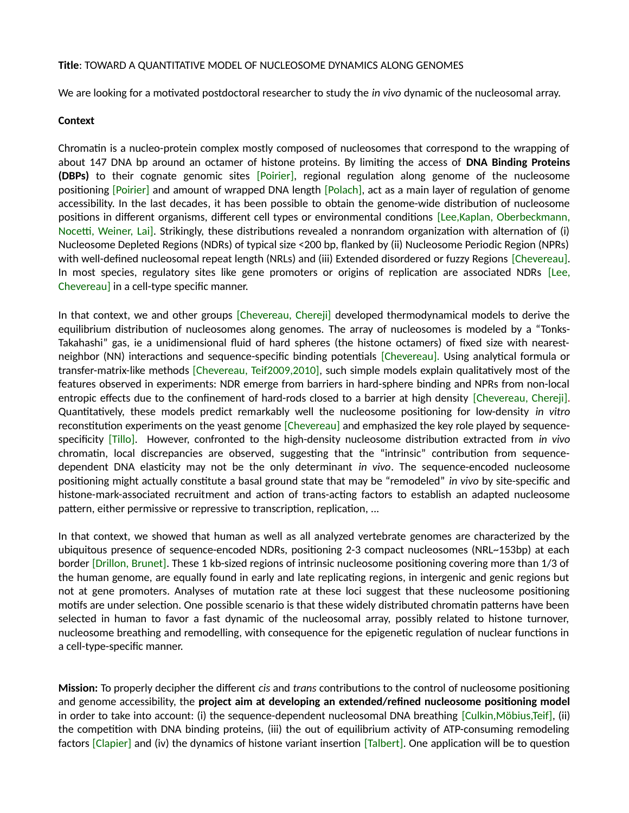## **Title**: TOWARD A QUANTITATIVE MODEL OF NUCLEOSOME DYNAMICS ALONG GENOMES

We are looking for a motivated postdoctoral researcher to study the *in vivo* dynamic of the nucleosomal array.

## **Context**

Chromatin is a nucleo-protein complex mostly composed of nucleosomes that correspond to the wrapping of about 147 DNA bp around an octamer of histone proteins. By limiting the access of **DNA Binding Proteins (DBPs)** to their cognate genomic sites [Poirier], regional regulation along genome of the nucleosome positioning [Poirier] and amount of wrapped DNA length [Polach], act as a main layer of regulation of genome accessibility. In the last decades, it has been possible to obtain the genome-wide distribution of nucleosome positions in different organisms, different cell types or environmental conditions [Lee,Kaplan, Oberbeckmann, Nocetti, Weiner, Lai]. Strikingly, these distributions revealed a nonrandom organization with alternation of (i) Nucleosome Depleted Regions (NDRs) of typical size <200 bp, flanked by (ii) Nucleosome Periodic Region (NPRs) with well-defined nucleosomal repeat length (NRLs) and (iii) Extended disordered or fuzzy Regions [Chevereau]. In most species, regulatory sites like gene promoters or origins of replication are associated NDRs [Lee, Chevereau] in a cell-type specific manner.

In that context, we and other groups [Chevereau, Chereji] developed thermodynamical models to derive the equilibrium distribution of nucleosomes along genomes. The array of nucleosomes is modeled by a "Tonks-Takahashi" gas, ie a unidimensional fluid of hard spheres (the histone octamers) of fixed size with nearestneighbor (NN) interactions and sequence-specific binding potentials [Chevereau]. Using analytical formula or transfer-matrix-like methods [Chevereau, Teif2009,2010], such simple models explain qualitatively most of the features observed in experiments: NDR emerge from barriers in hard-sphere binding and NPRs from non-local entropic effects due to the confinement of hard-rods closed to a barrier at high density [Chevereau, Chereji]. Quantitatively, these models predict remarkably well the nucleosome positioning for low-density *in vitro* reconstitution experiments on the yeast genome [Chevereau] and emphasized the key role played by sequencespecificity [Tillo]. However, confronted to the high-density nucleosome distribution extracted from *in vivo* chromatin, local discrepancies are observed, suggesting that the "intrinsic" contribution from sequencedependent DNA elasticity may not be the only determinant *in vivo*. The sequence-encoded nucleosome positioning might actually constitute a basal ground state that may be "remodeled" *in vivo* by site-specific and histone-mark-associated recruitment and action of trans-acting factors to establish an adapted nucleosome pattern, either permissive or repressive to transcription, replication, ...

In that context, we showed that human as well as all analyzed vertebrate genomes are characterized by the ubiquitous presence of sequence-encoded NDRs, positioning 2-3 compact nucleosomes (NRL~153bp) at each border [Drillon, Brunet]. These 1 kb-sized regions of intrinsic nucleosome positioning covering more than 1/3 of the human genome, are equally found in early and late replicating regions, in intergenic and genic regions but not at gene promoters. Analyses of mutation rate at these loci suggest that these nucleosome positioning motifs are under selection. One possible scenario is that these widely distributed chromatin patterns have been selected in human to favor a fast dynamic of the nucleosomal array, possibly related to histone turnover, nucleosome breathing and remodelling, with consequence for the epigenetic regulation of nuclear functions in a cell-type-specific manner.

**Mission:** To properly decipher the different *cis* and *trans* contributions to the control of nucleosome positioning and genome accessibility, the **project aim at developing an extended/refined nucleosome positioning model** in order to take into account: (i) the sequence-dependent nucleosomal DNA breathing [Culkin,Möbius,Teif], (ii) the competition with DNA binding proteins, (iii) the out of equilibrium activity of ATP-consuming remodeling factors [Clapier] and (iv) the dynamics of histone variant insertion [Talbert]. One application will be to question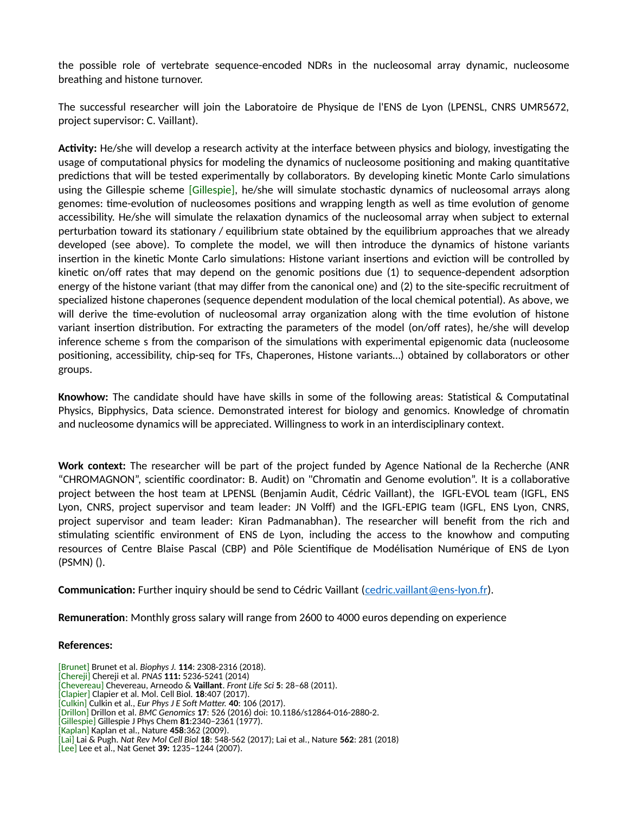the possible role of vertebrate sequence-encoded NDRs in the nucleosomal array dynamic, nucleosome breathing and histone turnover.

The successful researcher will join the Laboratoire de Physique de l'ENS de Lyon (LPENSL, CNRS UMR5672, project supervisor: C. Vaillant).

**Activity:** He/she will develop a research activity at the interface between physics and biology, investigating the usage of computational physics for modeling the dynamics of nucleosome positioning and making quantitative predictions that will be tested experimentally by collaborators. By developing kinetic Monte Carlo simulations using the Gillespie scheme [Gillespie], he/she will simulate stochastic dynamics of nucleosomal arrays along genomes: time-evolution of nucleosomes positions and wrapping length as well as time evolution of genome accessibility. He/she will simulate the relaxation dynamics of the nucleosomal array when subject to external perturbation toward its stationary / equilibrium state obtained by the equilibrium approaches that we already developed (see above). To complete the model, we will then introduce the dynamics of histone variants insertion in the kinetic Monte Carlo simulations: Histone variant insertions and eviction will be controlled by kinetic on/off rates that may depend on the genomic positions due (1) to sequence-dependent adsorption energy of the histone variant (that may differ from the canonical one) and (2) to the site-specific recruitment of specialized histone chaperones (sequence dependent modulation of the local chemical potential). As above, we will derive the time-evolution of nucleosomal array organization along with the time evolution of histone variant insertion distribution. For extracting the parameters of the model (on/off rates), he/she will develop inference scheme s from the comparison of the simulations with experimental epigenomic data (nucleosome positioning, accessibility, chip-seq for TFs, Chaperones, Histone variants…) obtained by collaborators or other groups.

**Knowhow:** The candidate should have have skills in some of the following areas: Statistical & Computatinal Physics, Bipphysics, Data science. Demonstrated interest for biology and genomics. Knowledge of chromatin and nucleosome dynamics will be appreciated. Willingness to work in an interdisciplinary context.

**Work context:** The researcher will be part of the project funded by Agence National de la Recherche (ANR "CHROMAGNON", scientific coordinator: B. Audit) on "Chromatin and Genome evolution". It is a collaborative project between the host team at LPENSL (Benjamin Audit, Cédric Vaillant), the IGFL-EVOL team (IGFL, ENS Lyon, CNRS, project supervisor and team leader: JN Volff) and the IGFL-EPIG team (IGFL, ENS Lyon, CNRS, project supervisor and team leader: Kiran Padmanabhan). The researcher will benefit from the rich and stimulating scientific environment of ENS de Lyon, including the access to the knowhow and computing resources of Centre Blaise Pascal (CBP) and Pôle Scientifique de Modélisation Numérique of ENS de Lyon (PSMN) ().

**Communication:** Further inquiry should be send to Cédric Vaillant (cedric.vaillant @ens-lyon.fr).

**Remuneration**: Monthly gross salary will range from 2600 to 4000 euros depending on experience

## **References:**

[Brunet] Brunet et al. *Biophys J.* **114**: 2308-2316 (2018). [Chereji] Chereji et al. *PNAS* **111:** 5236-5241 (2014) [Chevereau] Chevereau, Arneodo & **Vaillant**. *Front Life Sci* **5**: 28–68 (2011). [Clapier] Clapier et al. Mol. Cell Biol. **18**:407 (2017). [Culkin] Culkin et al*., Eur Phys J E Soft Matter.* **40**: 106 (2017). [Drillon] Drillon et al. *BMC Genomics* **17**: 526 (2016) doi: 10.1186/s12864-016-2880-2. [Gillespie] Gillespie J Phys Chem **81**:2340–2361 (1977). [Kaplan] Kaplan et al., Nature **458**:362 (2009). [Lai] Lai & Pugh. *Nat Rev Mol Cell Biol* **18**: 548-562 (2017); Lai et al., Nature **562**: 281 (2018) [Lee] Lee et al., Nat Genet **39:** 1235–1244 (2007).